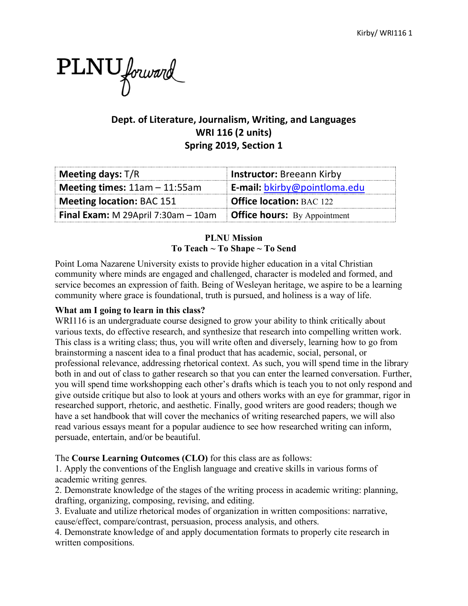

# **Dept. of Literature, Journalism, Writing, and Languages WRI 116 (2 units) Spring 2019, Section 1**

| <b>Meeting days:</b> $T/R$             | <b>Instructor: Breeann Kirby</b>    |
|----------------------------------------|-------------------------------------|
| <b>Meeting times:</b> $11am - 11:55am$ | E-mail: bkirby@pointloma.edu        |
| Meeting location: BAC 151              | <b>Office location: BAC 122</b>     |
| Final Exam: M 29April 7:30am - 10am    | <b>Office hours:</b> By Appointment |

## **PLNU Mission To Teach ~ To Shape ~ To Send**

Point Loma Nazarene University exists to provide higher education in a vital Christian community where minds are engaged and challenged, character is modeled and formed, and service becomes an expression of faith. Being of Wesleyan heritage, we aspire to be a learning community where grace is foundational, truth is pursued, and holiness is a way of life.

# **What am I going to learn in this class?**

WRI116 is an undergraduate course designed to grow your ability to think critically about various texts, do effective research, and synthesize that research into compelling written work. This class is a writing class; thus, you will write often and diversely, learning how to go from brainstorming a nascent idea to a final product that has academic, social, personal, or professional relevance, addressing rhetorical context. As such, you will spend time in the library both in and out of class to gather research so that you can enter the learned conversation. Further, you will spend time workshopping each other's drafts which is teach you to not only respond and give outside critique but also to look at yours and others works with an eye for grammar, rigor in researched support, rhetoric, and aesthetic. Finally, good writers are good readers; though we have a set handbook that will cover the mechanics of writing researched papers, we will also read various essays meant for a popular audience to see how researched writing can inform, persuade, entertain, and/or be beautiful.

The **Course Learning Outcomes (CLO)** for this class are as follows:

1. Apply the conventions of the English language and creative skills in various forms of academic writing genres.

2. Demonstrate knowledge of the stages of the writing process in academic writing: planning, drafting, organizing, composing, revising, and editing.

3. Evaluate and utilize rhetorical modes of organization in written compositions: narrative, cause/effect, compare/contrast, persuasion, process analysis, and others.

4. Demonstrate knowledge of and apply documentation formats to properly cite research in written compositions.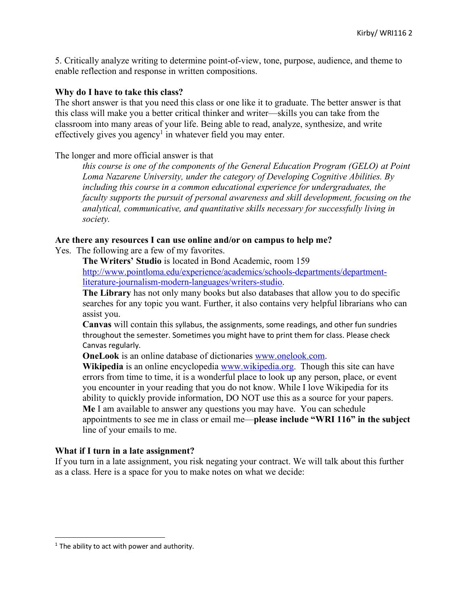5. Critically analyze writing to determine point-of-view, tone, purpose, audience, and theme to enable reflection and response in written compositions.

## **Why do I have to take this class?**

The short answer is that you need this class or one like it to graduate. The better answer is that this class will make you a better critical thinker and writer—skills you can take from the classroom into many areas of your life. Being able to read, analyze, synthesize, and write effectively gives you agency<sup>1</sup> in whatever field you may enter.

## The longer and more official answer is that

*this course is one of the components of the General Education Program (GELO) at Point Loma Nazarene University, under the category of Developing Cognitive Abilities. By including this course in a common educational experience for undergraduates, the faculty supports the pursuit of personal awareness and skill development, focusing on the analytical, communicative, and quantitative skills necessary for successfully living in society.*

## **Are there any resources I can use online and/or on campus to help me?**

Yes. The following are a few of my favorites.

**The Writers' Studio** is located in Bond Academic, room 159 http://www.pointloma.edu/experience/academics/schools-departments/departmentliterature-journalism-modern-languages/writers-studio.

**The Library** has not only many books but also databases that allow you to do specific searches for any topic you want. Further, it also contains very helpful librarians who can assist you.

**Canvas** will contain this syllabus, the assignments, some readings, and other fun sundries throughout the semester. Sometimes you might have to print them for class. Please check Canvas regularly.

**OneLook** is an online database of dictionaries www.onelook.com.

**Wikipedia** is an online encyclopedia www.wikipedia.org. Though this site can have errors from time to time, it is a wonderful place to look up any person, place, or event you encounter in your reading that you do not know. While I love Wikipedia for its ability to quickly provide information, DO NOT use this as a source for your papers. **Me** I am available to answer any questions you may have. You can schedule appointments to see me in class or email me—**please include "WRI 116" in the subject** line of your emails to me.

# **What if I turn in a late assignment?**

If you turn in a late assignment, you risk negating your contract. We will talk about this further as a class. Here is a space for you to make notes on what we decide:

 $1$ <sup>1</sup> The ability to act with power and authority.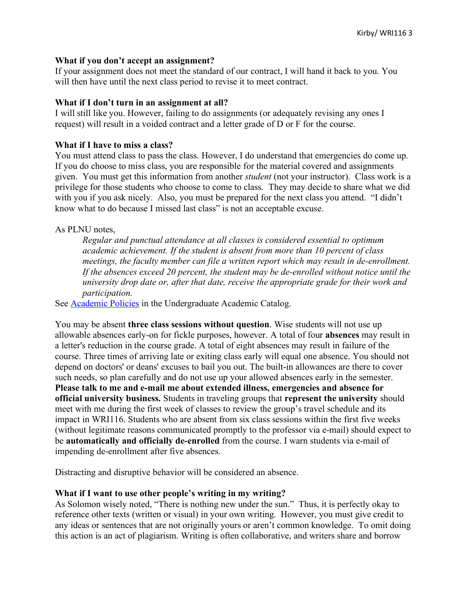## **What if you don't accept an assignment?**

If your assignment does not meet the standard of our contract, I will hand it back to you. You will then have until the next class period to revise it to meet contract.

### **What if I don't turn in an assignment at all?**

I will still like you. However, failing to do assignments (or adequately revising any ones I request) will result in a voided contract and a letter grade of D or F for the course.

### **What if I have to miss a class?**

You must attend class to pass the class. However, I do understand that emergencies do come up. If you do choose to miss class, you are responsible for the material covered and assignments given. You must get this information from another *student* (not your instructor). Class work is a privilege for those students who choose to come to class. They may decide to share what we did with you if you ask nicely. Also, you must be prepared for the next class you attend. "I didn't know what to do because I missed last class" is not an acceptable excuse.

## As PLNU notes,

*Regular and punctual attendance at all classes is considered essential to optimum academic achievement. If the student is absent from more than 10 percent of class meetings, the faculty member can file a written report which may result in de-enrollment. If the absences exceed 20 percent, the student may be de-enrolled without notice until the university drop date or, after that date, receive the appropriate grade for their work and participation.* 

See Academic Policies in the Undergraduate Academic Catalog.

You may be absent **three class sessions without question**. Wise students will not use up allowable absences early-on for fickle purposes, however. A total of four **absences** may result in a letter's reduction in the course grade. A total of eight absences may result in failure of the course. Three times of arriving late or exiting class early will equal one absence. You should not depend on doctors' or deans' excuses to bail you out. The built-in allowances are there to cover such needs, so plan carefully and do not use up your allowed absences early in the semester. **Please talk to me and e-mail me about extended illness, emergencies and absence for official university business.** Students in traveling groups that **represent the university** should meet with me during the first week of classes to review the group's travel schedule and its impact in WRI116. Students who are absent from six class sessions within the first five weeks (without legitimate reasons communicated promptly to the professor via e-mail) should expect to be **automatically and officially de-enrolled** from the course. I warn students via e-mail of impending de-enrollment after five absences.

Distracting and disruptive behavior will be considered an absence.

## **What if I want to use other people's writing in my writing?**

As Solomon wisely noted, "There is nothing new under the sun." Thus, it is perfectly okay to reference other texts (written or visual) in your own writing. However, you must give credit to any ideas or sentences that are not originally yours or aren't common knowledge. To omit doing this action is an act of plagiarism. Writing is often collaborative, and writers share and borrow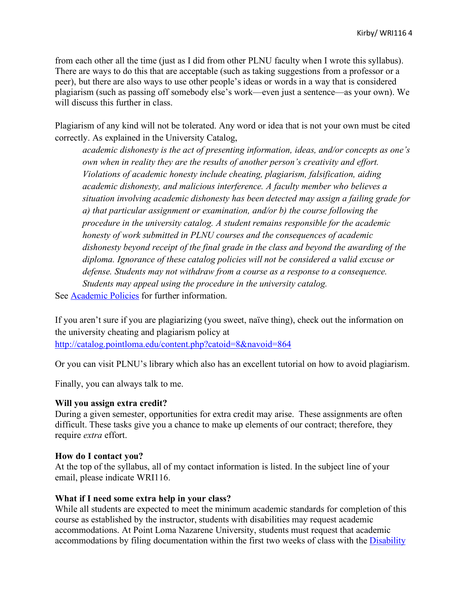from each other all the time (just as I did from other PLNU faculty when I wrote this syllabus). There are ways to do this that are acceptable (such as taking suggestions from a professor or a peer), but there are also ways to use other people's ideas or words in a way that is considered plagiarism (such as passing off somebody else's work—even just a sentence—as your own). We will discuss this further in class.

Plagiarism of any kind will not be tolerated. Any word or idea that is not your own must be cited correctly. As explained in the University Catalog,

*academic dishonesty is the act of presenting information, ideas, and/or concepts as one's own when in reality they are the results of another person's creativity and effort. Violations of academic honesty include cheating, plagiarism, falsification, aiding academic dishonesty, and malicious interference. A faculty member who believes a situation involving academic dishonesty has been detected may assign a failing grade for a) that particular assignment or examination, and/or b) the course following the procedure in the university catalog. A student remains responsible for the academic honesty of work submitted in PLNU courses and the consequences of academic dishonesty beyond receipt of the final grade in the class and beyond the awarding of the diploma. Ignorance of these catalog policies will not be considered a valid excuse or defense. Students may not withdraw from a course as a response to a consequence. Students may appeal using the procedure in the university catalog.*

See Academic Policies for further information.

If you aren't sure if you are plagiarizing (you sweet, naïve thing), check out the information on the university cheating and plagiarism policy at http://catalog.pointloma.edu/content.php?catoid=8&navoid=864

Or you can visit PLNU's library which also has an excellent tutorial on how to avoid plagiarism.

Finally, you can always talk to me.

## **Will you assign extra credit?**

During a given semester, opportunities for extra credit may arise. These assignments are often difficult. These tasks give you a chance to make up elements of our contract; therefore, they require *extra* effort.

## **How do I contact you?**

At the top of the syllabus, all of my contact information is listed. In the subject line of your email, please indicate WRI116.

## **What if I need some extra help in your class?**

While all students are expected to meet the minimum academic standards for completion of this course as established by the instructor, students with disabilities may request academic accommodations. At Point Loma Nazarene University, students must request that academic accommodations by filing documentation within the first two weeks of class with the Disability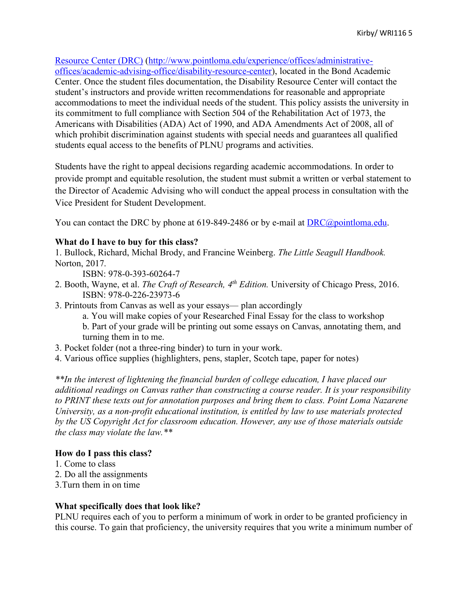## Resource Center (DRC) (http://www.pointloma.edu/experience/offices/administrative-

offices/academic-advising-office/disability-resource-center), located in the Bond Academic Center. Once the student files documentation, the Disability Resource Center will contact the student's instructors and provide written recommendations for reasonable and appropriate accommodations to meet the individual needs of the student. This policy assists the university in its commitment to full compliance with Section 504 of the Rehabilitation Act of 1973, the Americans with Disabilities (ADA) Act of 1990, and ADA Amendments Act of 2008, all of which prohibit discrimination against students with special needs and guarantees all qualified students equal access to the benefits of PLNU programs and activities.

Students have the right to appeal decisions regarding academic accommodations. In order to provide prompt and equitable resolution, the student must submit a written or verbal statement to the Director of Academic Advising who will conduct the appeal process in consultation with the Vice President for Student Development.

You can contact the DRC by phone at 619-849-2486 or by e-mail at <u>DRC@pointloma.edu</u>.

### **What do I have to buy for this class?**

1. Bullock, Richard, Michal Brody, and Francine Weinberg. *The Little Seagull Handbook.*  Norton, 2017.

ISBN: 978-0-393-60264-7

- 2. Booth, Wayne, et al. *The Craft of Research, 4th Edition.* University of Chicago Press, 2016. ISBN: 978-0-226-23973-6
- 3. Printouts from Canvas as well as your essays— plan accordingly
	- a. You will make copies of your Researched Final Essay for the class to workshop
	- b. Part of your grade will be printing out some essays on Canvas, annotating them, and turning them in to me.
- 3. Pocket folder (not a three-ring binder) to turn in your work.
- 4. Various office supplies (highlighters, pens, stapler, Scotch tape, paper for notes)

*\*\*In the interest of lightening the financial burden of college education, I have placed our additional readings on Canvas rather than constructing a course reader. It is your responsibility to PRINT these texts out for annotation purposes and bring them to class. Point Loma Nazarene University, as a non-profit educational institution, is entitled by law to use materials protected by the US Copyright Act for classroom education. However, any use of those materials outside the class may violate the law.\*\**

### **How do I pass this class?**

- 1. Come to class
- 2. Do all the assignments
- 3.Turn them in on time

### **What specifically does that look like?**

PLNU requires each of you to perform a minimum of work in order to be granted proficiency in this course. To gain that proficiency, the university requires that you write a minimum number of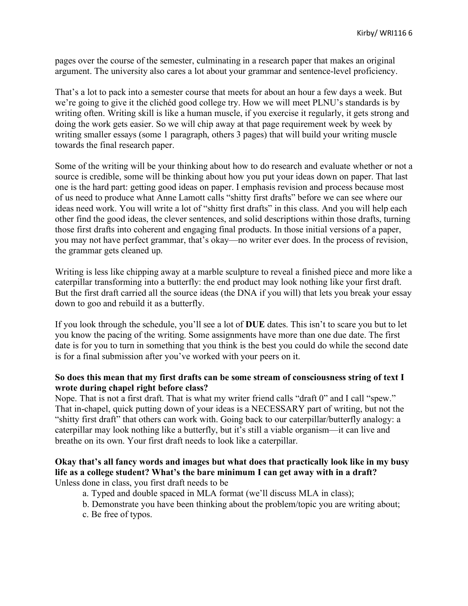pages over the course of the semester, culminating in a research paper that makes an original argument. The university also cares a lot about your grammar and sentence-level proficiency.

That's a lot to pack into a semester course that meets for about an hour a few days a week. But we're going to give it the clichéd good college try. How we will meet PLNU's standards is by writing often. Writing skill is like a human muscle, if you exercise it regularly, it gets strong and doing the work gets easier. So we will chip away at that page requirement week by week by writing smaller essays (some 1 paragraph, others 3 pages) that will build your writing muscle towards the final research paper.

Some of the writing will be your thinking about how to do research and evaluate whether or not a source is credible, some will be thinking about how you put your ideas down on paper. That last one is the hard part: getting good ideas on paper. I emphasis revision and process because most of us need to produce what Anne Lamott calls "shitty first drafts" before we can see where our ideas need work. You will write a lot of "shitty first drafts" in this class. And you will help each other find the good ideas, the clever sentences, and solid descriptions within those drafts, turning those first drafts into coherent and engaging final products. In those initial versions of a paper, you may not have perfect grammar, that's okay—no writer ever does. In the process of revision, the grammar gets cleaned up.

Writing is less like chipping away at a marble sculpture to reveal a finished piece and more like a caterpillar transforming into a butterfly: the end product may look nothing like your first draft. But the first draft carried all the source ideas (the DNA if you will) that lets you break your essay down to goo and rebuild it as a butterfly.

If you look through the schedule, you'll see a lot of **DUE** dates. This isn't to scare you but to let you know the pacing of the writing. Some assignments have more than one due date. The first date is for you to turn in something that you think is the best you could do while the second date is for a final submission after you've worked with your peers on it.

## **So does this mean that my first drafts can be some stream of consciousness string of text I wrote during chapel right before class?**

Nope. That is not a first draft. That is what my writer friend calls "draft 0" and I call "spew." That in-chapel, quick putting down of your ideas is a NECESSARY part of writing, but not the "shitty first draft" that others can work with. Going back to our caterpillar/butterfly analogy: a caterpillar may look nothing like a butterfly, but it's still a viable organism—it can live and breathe on its own. Your first draft needs to look like a caterpillar.

# **Okay that's all fancy words and images but what does that practically look like in my busy life as a college student? What's the bare minimum I can get away with in a draft?**

Unless done in class, you first draft needs to be

- a. Typed and double spaced in MLA format (we'll discuss MLA in class);
- b. Demonstrate you have been thinking about the problem/topic you are writing about;
- c. Be free of typos.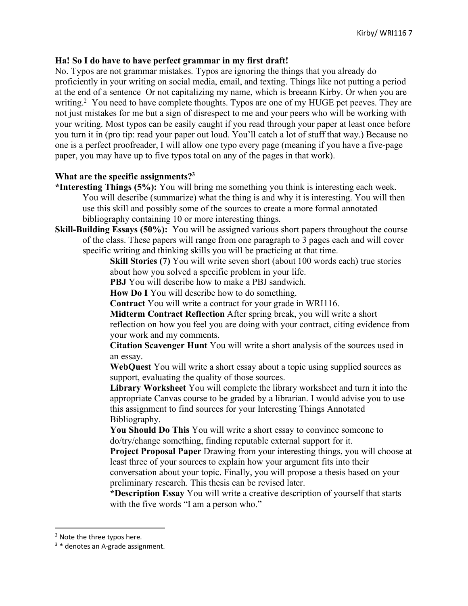## **Ha! So I do have to have perfect grammar in my first draft!**

No. Typos are not grammar mistakes. Typos are ignoring the things that you already do proficiently in your writing on social media, email, and texting. Things like not putting a period at the end of a sentence Or not capitalizing my name, which is breeann Kirby. Or when you are writing.<sup>2</sup> You need to have complete thoughts. Typos are one of my HUGE pet peeves. They are not just mistakes for me but a sign of disrespect to me and your peers who will be working with your writing. Most typos can be easily caught if you read through your paper at least once before you turn it in (pro tip: read your paper out loud. You'll catch a lot of stuff that way.) Because no one is a perfect proofreader, I will allow one typo every page (meaning if you have a five-page paper, you may have up to five typos total on any of the pages in that work).

## **What are the specific assignments?3**

- **\*Interesting Things (5%):** You will bring me something you think is interesting each week. You will describe (summarize) what the thing is and why it is interesting. You will then use this skill and possibly some of the sources to create a more formal annotated bibliography containing 10 or more interesting things.
- **Skill-Building Essays (50%):** You will be assigned various short papers throughout the course of the class. These papers will range from one paragraph to 3 pages each and will cover specific writing and thinking skills you will be practicing at that time.

**Skill Stories (7)** You will write seven short (about 100 words each) true stories about how you solved a specific problem in your life.

**PBJ** You will describe how to make a PBJ sandwich.

**How Do I** You will describe how to do something.

**Contract** You will write a contract for your grade in WRI116.

**Midterm Contract Reflection** After spring break, you will write a short reflection on how you feel you are doing with your contract, citing evidence from your work and my comments.

**Citation Scavenger Hunt** You will write a short analysis of the sources used in an essay.

**WebQuest** You will write a short essay about a topic using supplied sources as support, evaluating the quality of those sources.

**Library Worksheet** You will complete the library worksheet and turn it into the appropriate Canvas course to be graded by a librarian. I would advise you to use this assignment to find sources for your Interesting Things Annotated Bibliography.

**You Should Do This** You will write a short essay to convince someone to do/try/change something, finding reputable external support for it.

**Project Proposal Paper** Drawing from your interesting things, you will choose at least three of your sources to explain how your argument fits into their conversation about your topic. Finally, you will propose a thesis based on your

preliminary research. This thesis can be revised later.

**\*Description Essay** You will write a creative description of yourself that starts with the five words "I am a person who."

 <sup>2</sup> Note the three typos here.

 $3 *$  denotes an A-grade assignment.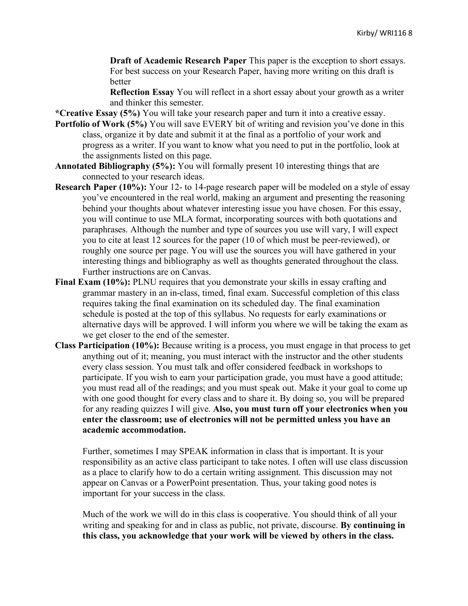**Draft of Academic Research Paper** This paper is the exception to short essays. For best success on your Research Paper, having more writing on this draft is better

**Reflection Essay** You will reflect in a short essay about your growth as a writer and thinker this semester.

**\*Creative Essay (5%)** You will take your research paper and turn it into a creative essay.

- **Portfolio of Work (5%)** You will save EVERY bit of writing and revision you've done in this class, organize it by date and submit it at the final as a portfolio of your work and progress as a writer. If you want to know what you need to put in the portfolio, look at the assignments listed on this page.
- **Annotated Bibliography (5%):** You will formally present 10 interesting things that are connected to your research ideas.
- **Research Paper (10%):** Your 12- to 14-page research paper will be modeled on a style of essay you've encountered in the real world, making an argument and presenting the reasoning behind your thoughts about whatever interesting issue you have chosen. For this essay, you will continue to use MLA format, incorporating sources with both quotations and paraphrases. Although the number and type of sources you use will vary, I will expect you to cite at least 12 sources for the paper (10 of which must be peer-reviewed), or roughly one source per page. You will use the sources you will have gathered in your interesting things and bibliography as well as thoughts generated throughout the class. Further instructions are on Canvas.
- **Final Exam (10%):** PLNU requires that you demonstrate your skills in essay crafting and grammar mastery in an in-class, timed, final exam. Successful completion of this class requires taking the final examination on its scheduled day. The final examination schedule is posted at the top of this syllabus. No requests for early examinations or alternative days will be approved. I will inform you where we will be taking the exam as we get closer to the end of the semester.
- **Class Participation (10%):** Because writing is a process, you must engage in that process to get anything out of it; meaning, you must interact with the instructor and the other students every class session. You must talk and offer considered feedback in workshops to participate. If you wish to earn your participation grade, you must have a good attitude; you must read all of the readings; and you must speak out. Make it your goal to come up with one good thought for every class and to share it. By doing so, you will be prepared for any reading quizzes I will give. **Also, you must turn off your electronics when you enter the classroom; use of electronics will not be permitted unless you have an academic accommodation.**

Further, sometimes I may SPEAK information in class that is important. It is your responsibility as an active class participant to take notes. I often will use class discussion as a place to clarify how to do a certain writing assignment. This discussion may not appear on Canvas or a PowerPoint presentation. Thus, your taking good notes is important for your success in the class.

Much of the work we will do in this class is cooperative. You should think of all your writing and speaking for and in class as public, not private, discourse. **By continuing in this class, you acknowledge that your work will be viewed by others in the class.**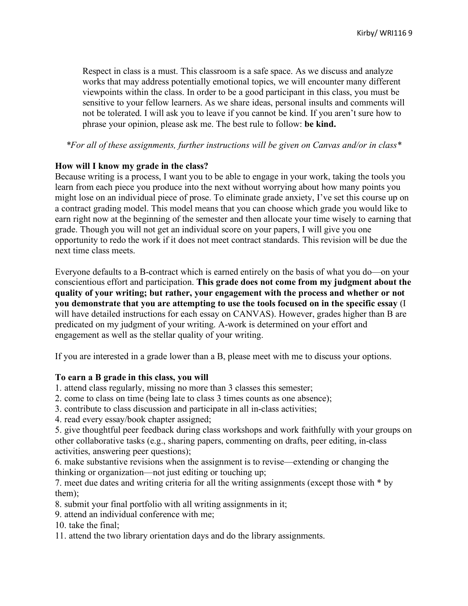Respect in class is a must. This classroom is a safe space. As we discuss and analyze works that may address potentially emotional topics, we will encounter many different viewpoints within the class. In order to be a good participant in this class, you must be sensitive to your fellow learners. As we share ideas, personal insults and comments will not be tolerated. I will ask you to leave if you cannot be kind. If you aren't sure how to phrase your opinion, please ask me. The best rule to follow: **be kind.**

*\*For all of these assignments, further instructions will be given on Canvas and/or in class\**

## **How will I know my grade in the class?**

Because writing is a process, I want you to be able to engage in your work, taking the tools you learn from each piece you produce into the next without worrying about how many points you might lose on an individual piece of prose. To eliminate grade anxiety, I've set this course up on a contract grading model. This model means that you can choose which grade you would like to earn right now at the beginning of the semester and then allocate your time wisely to earning that grade. Though you will not get an individual score on your papers, I will give you one opportunity to redo the work if it does not meet contract standards. This revision will be due the next time class meets.

Everyone defaults to a B-contract which is earned entirely on the basis of what you do—on your conscientious effort and participation. **This grade does not come from my judgment about the quality of your writing; but rather, your engagement with the process and whether or not you demonstrate that you are attempting to use the tools focused on in the specific essay** (I will have detailed instructions for each essay on CANVAS). However, grades higher than B are predicated on my judgment of your writing. A-work is determined on your effort and engagement as well as the stellar quality of your writing.

If you are interested in a grade lower than a B, please meet with me to discuss your options.

## **To earn a B grade in this class, you will**

- 1. attend class regularly, missing no more than 3 classes this semester;
- 2. come to class on time (being late to class 3 times counts as one absence);
- 3. contribute to class discussion and participate in all in-class activities;
- 4. read every essay/book chapter assigned;

5. give thoughtful peer feedback during class workshops and work faithfully with your groups on other collaborative tasks (e.g., sharing papers, commenting on drafts, peer editing, in-class activities, answering peer questions);

6. make substantive revisions when the assignment is to revise—extending or changing the thinking or organization—not just editing or touching up;

7. meet due dates and writing criteria for all the writing assignments (except those with \* by them);

8. submit your final portfolio with all writing assignments in it;

9. attend an individual conference with me;

10. take the final;

11. attend the two library orientation days and do the library assignments.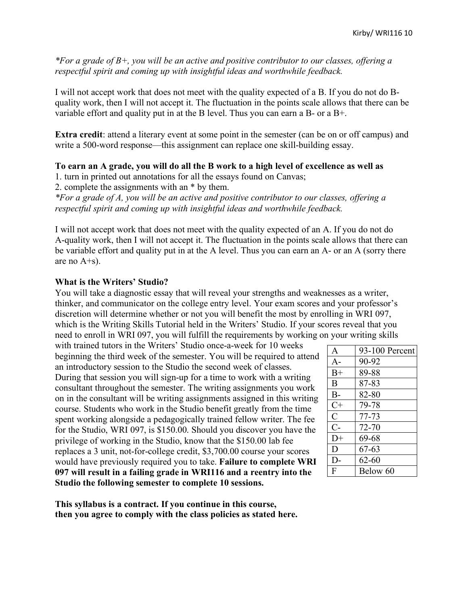*\*For a grade of B+, you will be an active and positive contributor to our classes, offering a respectful spirit and coming up with insightful ideas and worthwhile feedback.*

I will not accept work that does not meet with the quality expected of a B. If you do not do Bquality work, then I will not accept it. The fluctuation in the points scale allows that there can be variable effort and quality put in at the B level. Thus you can earn a B- or a B+.

**Extra credit**: attend a literary event at some point in the semester (can be on or off campus) and write a 500-word response—this assignment can replace one skill-building essay.

### **To earn an A grade, you will do all the B work to a high level of excellence as well as**

1. turn in printed out annotations for all the essays found on Canvas;

2. complete the assignments with an \* by them.

*\*For a grade of A, you will be an active and positive contributor to our classes, offering a respectful spirit and coming up with insightful ideas and worthwhile feedback.*

I will not accept work that does not meet with the quality expected of an A. If you do not do A-quality work, then I will not accept it. The fluctuation in the points scale allows that there can be variable effort and quality put in at the A level. Thus you can earn an A- or an A (sorry there are no A+s).

### **What is the Writers' Studio?**

You will take a diagnostic essay that will reveal your strengths and weaknesses as a writer, thinker, and communicator on the college entry level. Your exam scores and your professor's discretion will determine whether or not you will benefit the most by enrolling in WRI 097, which is the Writing Skills Tutorial held in the Writers' Studio. If your scores reveal that you need to enroll in WRI 097, you will fulfill the requirements by working on your writing skills

with trained tutors in the Writers' Studio once-a-week for 10 weeks beginning the third week of the semester. You will be required to attend an introductory session to the Studio the second week of classes. During that session you will sign-up for a time to work with a writing consultant throughout the semester. The writing assignments you work on in the consultant will be writing assignments assigned in this writing course. Students who work in the Studio benefit greatly from the time spent working alongside a pedagogically trained fellow writer. The fee for the Studio, WRI 097, is \$150.00. Should you discover you have the privilege of working in the Studio, know that the \$150.00 lab fee replaces a 3 unit, not-for-college credit, \$3,700.00 course your scores would have previously required you to take. **Failure to complete WRI 097 will result in a failing grade in WRI116 and a reentry into the Studio the following semester to complete 10 sessions.**

| $\mathsf{A}$ | 93-100 Percent |
|--------------|----------------|
| $A -$        | 90-92          |
| $B+$         | 89-88          |
| B            | 87-83          |
| $B -$        | 82-80          |
| $C+$         | 79-78          |
| C            | 77-73          |
| $C-$         | 72-70          |
| $D+$         | 69-68          |
| D            | 67-63          |
| D-           | $62 - 60$      |
| F            | Below 60       |

**This syllabus is a contract. If you continue in this course, then you agree to comply with the class policies as stated here.**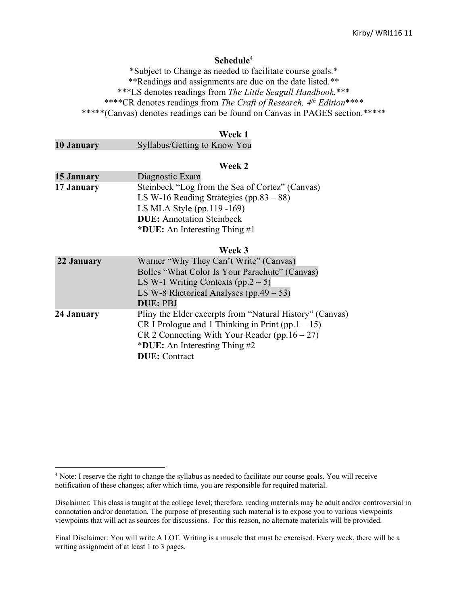### **Schedule**<sup>4</sup>

\*Subject to Change as needed to facilitate course goals.\* \*\*Readings and assignments are due on the date listed.\*\* \*\*\*LS denotes readings from *The Little Seagull Handbook.*\*\*\* \*\*\*\*CR denotes readings from *The Craft of Research, 4th Edition*\*\*\*\* \*\*\*\*\*(Canvas) denotes readings can be found on Canvas in PAGES section.\*\*\*\*\*

#### **Week 1**

|  | <b>10 January</b> | Syllabus/Getting to Know You |  |
|--|-------------------|------------------------------|--|
|--|-------------------|------------------------------|--|

 $\overline{a}$ 

### **Week 2**

| Diagnostic Exam                                 |
|-------------------------------------------------|
| Steinbeck "Log from the Sea of Cortez" (Canvas) |
| LS W-16 Reading Strategies (pp.83 $-88$ )       |
| LS MLA Style $(pp.119 -169)$                    |
| <b>DUE:</b> Annotation Steinbeck                |
| *DUE: An Interesting Thing $#1$                 |
|                                                 |

#### **Week 3**

| 22 January | Warner "Why They Can't Write" (Canvas)<br>Bolles "What Color Is Your Parachute" (Canvas)<br>LS W-1 Writing Contexts $(pp.2-5)$<br>LS W-8 Rhetorical Analyses (pp.49 $-53$ )<br>DUE: PBJ                                           |
|------------|-----------------------------------------------------------------------------------------------------------------------------------------------------------------------------------------------------------------------------------|
| 24 January | Pliny the Elder excerpts from "Natural History" (Canvas)<br>CR I Prologue and 1 Thinking in Print (pp. $1 - 15$ )<br>CR 2 Connecting With Your Reader (pp. $16 - 27$ )<br>*DUE: An Interesting Thing $#2$<br><b>DUE:</b> Contract |

<sup>4</sup> Note: I reserve the right to change the syllabus as needed to facilitate our course goals. You will receive notification of these changes; after which time, you are responsible for required material.

Disclaimer: This class is taught at the college level; therefore, reading materials may be adult and/or controversial in connotation and/or denotation. The purpose of presenting such material is to expose you to various viewpoints viewpoints that will act as sources for discussions. For this reason, no alternate materials will be provided.

Final Disclaimer: You will write A LOT. Writing is a muscle that must be exercised. Every week, there will be a writing assignment of at least 1 to 3 pages.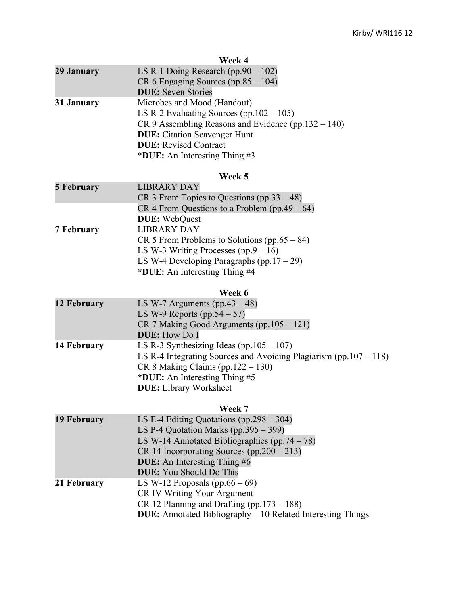|            | Week 4                                                |
|------------|-------------------------------------------------------|
| 29 January | LS R-1 Doing Research (pp. $90 - 102$ )               |
|            | $CR 6$ Engaging Sources (pp.85 – 104)                 |
|            | <b>DUE:</b> Seven Stories                             |
| 31 January | Microbes and Mood (Handout)                           |
|            | LS R-2 Evaluating Sources (pp. $102 - 105$ )          |
|            | $CR$ 9 Assembling Reasons and Evidence (pp.132 – 140) |
|            | <b>DUE:</b> Citation Scavenger Hunt                   |
|            | <b>DUE:</b> Revised Contract                          |
|            | *DUE: An Interesting Thing $\#3$                      |
|            | Week 5                                                |

| <b>5 February</b> | <b>LIBRARY DAY</b>                              |
|-------------------|-------------------------------------------------|
|                   | CR 3 From Topics to Questions $(pp.33 - 48)$    |
|                   | $CR$ 4 From Questions to a Problem (pp.49 – 64) |
|                   | <b>DUE:</b> WebQuest                            |
| 7 February        | <b>LIBRARY DAY</b>                              |
|                   | CR 5 From Problems to Solutions (pp.65 – 84)    |
|                   | LS W-3 Writing Processes $(pp.9 - 16)$          |
|                   | LS W-4 Developing Paragraphs $(pp.17-29)$       |
|                   | *DUE: An Interesting Thing #4                   |
|                   |                                                 |

# **Week 6**

| <b>12 February</b> | LS W-7 Arguments (pp.43 $-48$ )                                       |
|--------------------|-----------------------------------------------------------------------|
|                    | LS W-9 Reports $(pp.54-57)$                                           |
|                    | $CR$ 7 Making Good Arguments (pp. 105 – 121)                          |
|                    | <b>DUE:</b> How Do I                                                  |
| 14 February        | LS R-3 Synthesizing Ideas (pp. $105 - 107$ )                          |
|                    | LS R-4 Integrating Sources and Avoiding Plagiarism (pp. $107 - 118$ ) |
|                    | $CR 8$ Making Claims (pp. 122 – 130)                                  |
|                    | *DUE: An Interesting Thing $#5$                                       |
|                    | <b>DUE:</b> Library Worksheet                                         |
|                    |                                                                       |

# **Week 7**

| <b>19 February</b> | LS E-4 Editing Quotations $(pp.298 - 304)$                         |
|--------------------|--------------------------------------------------------------------|
|                    | LS P-4 Quotation Marks $(pp.395 - 399)$                            |
|                    | LS W-14 Annotated Bibliographies $(pp.74-78)$                      |
|                    | CR 14 Incorporating Sources $(pp.200 - 213)$                       |
|                    | <b>DUE:</b> An Interesting Thing #6                                |
|                    | <b>DUE:</b> You Should Do This                                     |
| 21 February        | LS W-12 Proposals (pp.66 $-69$ )                                   |
|                    | CR IV Writing Your Argument                                        |
|                    | CR 12 Planning and Drafting (pp. $173 - 188$ )                     |
|                    | <b>DUE:</b> Annotated Bibliography – 10 Related Interesting Things |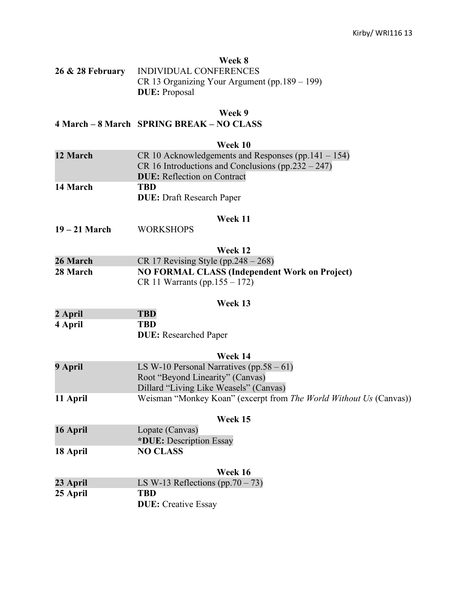# **Week 8**

| 26 & 28 February | INDIVIDUAL CONFERENCES                           |
|------------------|--------------------------------------------------|
|                  | $CR$ 13 Organizing Your Argument (pp. 189 – 199) |
|                  | <b>DUE</b> : Proposal                            |

# **Week 9**

# **4 March – 8 March SPRING BREAK – NO CLASS**

|                 | Week 10                                                            |  |
|-----------------|--------------------------------------------------------------------|--|
| 12 March        | CR 10 Acknowledgements and Responses (pp.141 – 154)                |  |
|                 | CR 16 Introductions and Conclusions (pp. $232 - 247$ )             |  |
|                 | <b>DUE:</b> Reflection on Contract                                 |  |
| 14 March        | <b>TBD</b>                                                         |  |
|                 | <b>DUE:</b> Draft Research Paper                                   |  |
|                 | Week 11                                                            |  |
| $19 - 21$ March | <b>WORKSHOPS</b>                                                   |  |
|                 |                                                                    |  |
|                 | Week 12                                                            |  |
| 26 March        | CR 17 Revising Style (pp. $248 - 268$ )                            |  |
| 28 March        | <b>NO FORMAL CLASS (Independent Work on Project)</b>               |  |
|                 | CR 11 Warrants (pp.155 – 172)                                      |  |
|                 | Week 13                                                            |  |
| 2 April         | <b>TBD</b>                                                         |  |
| 4 April         | <b>TBD</b>                                                         |  |
|                 | <b>DUE:</b> Researched Paper                                       |  |
|                 | Week 14                                                            |  |
| 9 April         | LS W-10 Personal Narratives $(pp.58-61)$                           |  |
|                 | Root "Beyond Linearity" (Canvas)                                   |  |
|                 | Dillard "Living Like Weasels" (Canvas)                             |  |
| 11 April        | Weisman "Monkey Koan" (excerpt from The World Without Us (Canvas)) |  |
| Week 15         |                                                                    |  |
| 16 April        | Lopate (Canvas)                                                    |  |
|                 | *DUE: Description Essay                                            |  |
| 18 April        | <b>NO CLASS</b>                                                    |  |
|                 |                                                                    |  |
| Week 16         |                                                                    |  |
| 23 April        | LS W-13 Reflections (pp. $70 - 73$ )                               |  |
| 25 April        | <b>TBD</b>                                                         |  |
|                 | <b>DUE:</b> Creative Essay                                         |  |